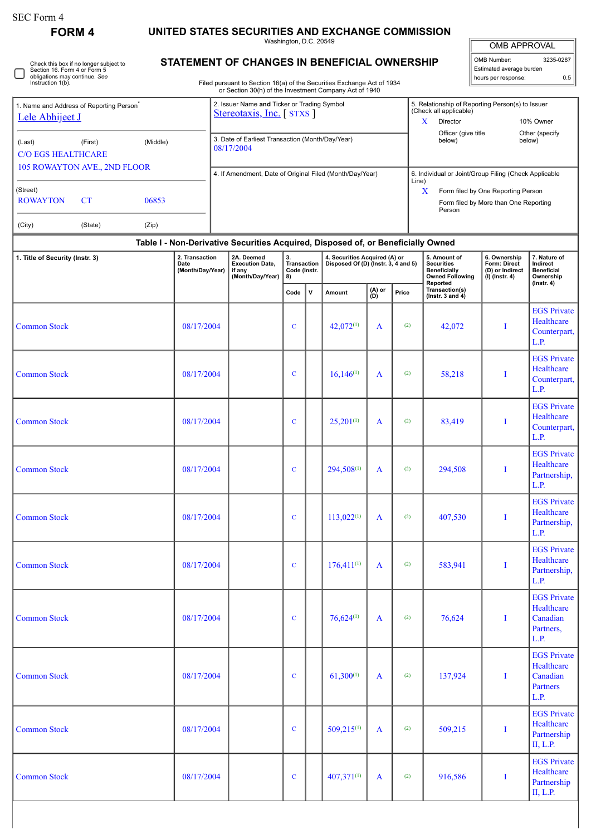| orm<br>r |  |
|----------|--|
|----------|--|

 $\Box$ 

## **FORM 4 UNITED STATES SECURITIES AND EXCHANGE COMMISSION**

Washington, D.C. 20549

| Check this box if no longer subject to<br>Section 16, Form 4 or Form 5<br>obligations may continue. See |  |
|---------------------------------------------------------------------------------------------------------|--|
| Instruction 1(b).                                                                                       |  |

## **STATEMENT OF CHANGES IN BENEFICIAL OWNERSHIP**

Filed pursuant to Section 16(a) of the Securities Exchange Act of 1934 or Section 30(h) of the Investment Company Act of 1940

| OMB APPROVAL             |           |
|--------------------------|-----------|
| OMB Number:              | 3235-0287 |
| Estimated average burden |           |
| hours per response:      | 0.5       |

| I. Name and Address of Reporting Person <sup>®</sup><br>Lele Abhijeet J |                                                                                  |          | 2. Issuer Name and Ticker or Trading Symbol<br>Stereotaxis, Inc. [STXS] |            | 5. Relationship of Reporting Person(s) to Issuer<br>(Check all applicable)            |                          |  |  |  |  |  |  |
|-------------------------------------------------------------------------|----------------------------------------------------------------------------------|----------|-------------------------------------------------------------------------|------------|---------------------------------------------------------------------------------------|--------------------------|--|--|--|--|--|--|
|                                                                         |                                                                                  |          |                                                                         | X          | Director                                                                              | 10% Owner                |  |  |  |  |  |  |
| (Last)<br><b>C/O EGS HEALTHCARE</b>                                     | (First)                                                                          | (Middle) | 3. Date of Earliest Transaction (Month/Day/Year)<br>08/17/2004          |            | Officer (give title<br>below)                                                         | Other (specify<br>below) |  |  |  |  |  |  |
| <b>105 ROWAYTON AVE., 2ND FLOOR</b>                                     |                                                                                  |          | 4. If Amendment, Date of Original Filed (Month/Day/Year)                |            | 6. Individual or Joint/Group Filing (Check Applicable                                 |                          |  |  |  |  |  |  |
| (Street)<br><b>ROWAYTON</b>                                             | <b>CT</b>                                                                        | 06853    |                                                                         | Line)<br>X | Form filed by One Reporting Person<br>Form filed by More than One Reporting<br>Person |                          |  |  |  |  |  |  |
| (City)                                                                  | (State)                                                                          | (Zip)    |                                                                         |            |                                                                                       |                          |  |  |  |  |  |  |
|                                                                         | Table I - Non-Derivative Securities Acquired, Disposed of, or Beneficially Owned |          |                                                                         |            |                                                                                       |                          |  |  |  |  |  |  |

## **Table I - Non-Derivative Securities Acquired, Disposed of, or Beneficially Owned**

| 1. Title of Security (Instr. 3) | 2. Transaction<br>Date<br>(Month/Day/Year) | 2A. Deemed<br><b>Execution Date,</b><br>if any<br>(Month/Day/Year) | 3.<br><b>Transaction</b><br>Code (Instr.<br>8) |              | 4. Securities Acquired (A) or<br>Disposed Of (D) (Instr. 3, 4 and 5) |               |       | 5. Amount of<br><b>Securities</b><br><b>Beneficially</b><br><b>Owned Following</b> | 6. Ownership<br>Form: Direct<br>(D) or Indirect<br>$(I)$ (Instr. 4) | 7. Nature of<br>Indirect<br><b>Beneficial</b><br>Ownership              |  |
|---------------------------------|--------------------------------------------|--------------------------------------------------------------------|------------------------------------------------|--------------|----------------------------------------------------------------------|---------------|-------|------------------------------------------------------------------------------------|---------------------------------------------------------------------|-------------------------------------------------------------------------|--|
|                                 |                                            |                                                                    | Code                                           | $\mathbf{v}$ | Amount                                                               | (A) or<br>(D) | Price | Reported<br>Transaction(s)<br>(Instr. 3 and $4$ )                                  |                                                                     | $($ Instr. 4 $)$                                                        |  |
| <b>Common Stock</b>             | 08/17/2004                                 |                                                                    | $\mathbf C$                                    |              | $42,072^{(1)}$                                                       | A             | (2)   | 42,072                                                                             | $\bf{I}$                                                            | <b>EGS Private</b><br>Healthcare<br>Counterpart,<br>L.P.                |  |
| <b>Common Stock</b>             | 08/17/2004                                 |                                                                    | $\mathbf C$                                    |              | $16,146^{(1)}$                                                       | A             | (2)   | 58,218                                                                             | I                                                                   | <b>EGS Private</b><br>Healthcare<br>Counterpart,<br>L.P.                |  |
| <b>Common Stock</b>             | 08/17/2004                                 |                                                                    | $\mathbf C$                                    |              | $25,201^{(1)}$                                                       | A             | (2)   | 83,419                                                                             | I                                                                   | <b>EGS Private</b><br>Healthcare<br>Counterpart,<br>L.P.                |  |
| <b>Common Stock</b>             | 08/17/2004                                 |                                                                    | $\mathbf C$                                    |              | 294,508(1)                                                           | A             | (2)   | 294,508                                                                            | I                                                                   | <b>EGS Private</b><br>Healthcare<br>Partnership,<br>L.P.                |  |
| <b>Common Stock</b>             | 08/17/2004                                 |                                                                    | $\bf C$                                        |              | $113,022^{(1)}$                                                      | A             | (2)   | 407,530                                                                            | I                                                                   | <b>EGS Private</b><br>Healthcare<br>Partnership,<br>L.P.                |  |
| <b>Common Stock</b>             | 08/17/2004                                 |                                                                    | $\mathbf C$                                    |              | $176,411^{(1)}$                                                      | A             | (2)   | 583,941                                                                            | I                                                                   | <b>EGS Private</b><br>Healthcare<br>Partnership,<br>L.P.                |  |
| <b>Common Stock</b>             | 08/17/2004                                 |                                                                    | $\mathbf C$                                    |              | $76,624^{(1)}$                                                       | A             | (2)   | 76,624                                                                             | I                                                                   | <b>EGS Private</b><br>Healthcare<br>Canadian<br>Partners,<br>L.P.       |  |
| <b>Common Stock</b>             | 08/17/2004                                 |                                                                    | $\mathbf C$                                    |              | $61,300^{(1)}$                                                       | A             | (2)   | 137,924                                                                            | I                                                                   | <b>EGS Private</b><br>Healthcare<br>Canadian<br><b>Partners</b><br>L.P. |  |
| <b>Common Stock</b>             | 08/17/2004                                 |                                                                    | $\mathbf C$                                    |              | $509,215^{(1)}$                                                      | $\mathbf{A}$  | (2)   | 509,215                                                                            | Ι                                                                   | <b>EGS Private</b><br>Healthcare<br>Partnership<br>II, L.P.             |  |
| <b>Common Stock</b>             | 08/17/2004                                 |                                                                    | $\mathbf{C}$                                   |              | 407,371(1)                                                           | $\mathbf{A}$  | (2)   | 916,586                                                                            | I                                                                   | <b>EGS Private</b><br>Healthcare<br>Partnership<br>II, L.P.             |  |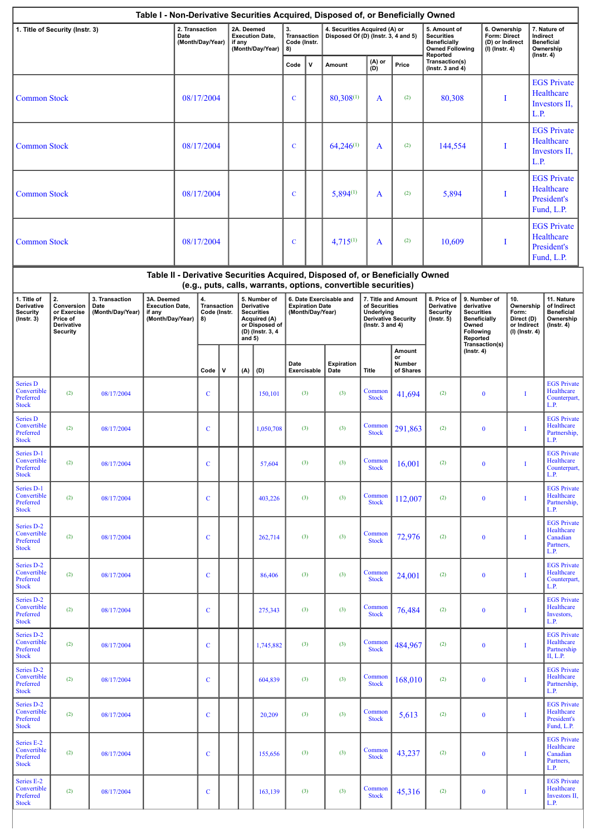|                                                             |                                                                              |                                            |                                                                    |  |                                                |                                                                    |     |                                                                                                                   |                                                                                                                        |                                                                                                                                         | Table I - Non-Derivative Securities Acquired, Disposed of, or Beneficially Owned |                        |                                                                                                          |                                                                                                |                                                                                                          |                                                                                 |      |                                                                                 |
|-------------------------------------------------------------|------------------------------------------------------------------------------|--------------------------------------------|--------------------------------------------------------------------|--|------------------------------------------------|--------------------------------------------------------------------|-----|-------------------------------------------------------------------------------------------------------------------|------------------------------------------------------------------------------------------------------------------------|-----------------------------------------------------------------------------------------------------------------------------------------|----------------------------------------------------------------------------------|------------------------|----------------------------------------------------------------------------------------------------------|------------------------------------------------------------------------------------------------|----------------------------------------------------------------------------------------------------------|---------------------------------------------------------------------------------|------|---------------------------------------------------------------------------------|
| 1. Title of Security (Instr. 3)                             |                                                                              |                                            | 2. Transaction<br>Date<br>(Month/Day/Year)                         |  |                                                | 2A. Deemed<br><b>Execution Date,</b><br>if any<br>(Month/Day/Year) |     |                                                                                                                   | 4. Securities Acquired (A) or<br>3.<br>Disposed Of (D) (Instr. 3, 4 and 5)<br><b>Transaction</b><br>Code (Instr.<br>8) |                                                                                                                                         |                                                                                  |                        |                                                                                                          | 5. Amount of<br><b>Securities</b><br><b>Beneficially</b><br><b>Owned Following</b><br>Reported |                                                                                                          | 6. Ownership<br>Form: Direct<br>Indirect<br>(D) or Indirect<br>$(I)$ (Instr. 4) |      | 7. Nature of<br><b>Beneficial</b><br>Ownership<br>$($ Instr. 4 $)$              |
|                                                             |                                                                              |                                            |                                                                    |  |                                                |                                                                    |     |                                                                                                                   | Code                                                                                                                   | V                                                                                                                                       | Amount                                                                           | $(A)$ or<br>$(B)$      | Price                                                                                                    | Transaction(s)<br>(Instr. $3$ and $4$ )                                                        |                                                                                                          |                                                                                 |      |                                                                                 |
| <b>Common Stock</b>                                         |                                                                              |                                            |                                                                    |  | 08/17/2004                                     |                                                                    |     |                                                                                                                   | $\mathbf C$                                                                                                            |                                                                                                                                         | $80,308^{(1)}$                                                                   | A                      | (2)                                                                                                      | 80,308                                                                                         |                                                                                                          | I                                                                               | L.P. | <b>EGS Private</b><br>Healthcare<br>Investors II,                               |
| <b>Common Stock</b>                                         |                                                                              |                                            |                                                                    |  | 08/17/2004                                     |                                                                    |     |                                                                                                                   | $\mathbf C$                                                                                                            |                                                                                                                                         | $64,246^{(1)}$                                                                   | A                      | (2)                                                                                                      | 144,554                                                                                        |                                                                                                          | I                                                                               | L.P. | <b>EGS Private</b><br>Healthcare<br>Investors II.                               |
| <b>Common Stock</b>                                         |                                                                              |                                            |                                                                    |  | 08/17/2004                                     |                                                                    |     |                                                                                                                   | $\mathbf C$                                                                                                            |                                                                                                                                         | $5,894^{(1)}$                                                                    | A                      | (2)                                                                                                      | 5,894                                                                                          |                                                                                                          | I                                                                               |      | <b>EGS Private</b><br>Healthcare<br>President's<br>Fund, L.P.                   |
| <b>Common Stock</b>                                         |                                                                              |                                            |                                                                    |  | 08/17/2004                                     |                                                                    |     |                                                                                                                   | $\mathbf C$                                                                                                            |                                                                                                                                         | $4,715^{(1)}$                                                                    | A                      | (2)                                                                                                      | 10,609                                                                                         |                                                                                                          | I                                                                               |      | <b>EGS Private</b><br>Healthcare<br>President's<br>Fund, L.P.                   |
|                                                             |                                                                              |                                            |                                                                    |  |                                                |                                                                    |     |                                                                                                                   |                                                                                                                        |                                                                                                                                         | Table II - Derivative Securities Acquired, Disposed of, or Beneficially Owned    |                        |                                                                                                          |                                                                                                |                                                                                                          |                                                                                 |      |                                                                                 |
| 1. Title of<br>Derivative<br>Security<br>$($ Instr. 3 $)$   | 2.<br>Conversion<br>or Exercise<br>Price of<br>Derivative<br><b>Security</b> | 3. Transaction<br>Date<br>(Month/Day/Year) | 3A. Deemed<br><b>Execution Date,</b><br>if any<br>(Month/Day/Year) |  | 4.<br><b>Transaction</b><br>Code (Instr.<br>8) |                                                                    |     | 5. Number of<br>Derivative<br><b>Securities</b><br>Acquired (A)<br>or Disposed of<br>(D) (Instr. 3, 4<br>and $5)$ |                                                                                                                        | (e.g., puts, calls, warrants, options, convertible securities)<br>6. Date Exercisable and<br><b>Expiration Date</b><br>(Month/Day/Year) |                                                                                  |                        | 7. Title and Amount<br>of Securities<br>Underlying<br><b>Derivative Security</b><br>( $lnstr. 3 and 4$ ) |                                                                                                | 9. Number of<br>derivative<br><b>Securities</b><br><b>Beneficially</b><br>Owned<br>Following<br>Reported | 10.<br>Ownership<br>Form:<br>Direct (D)<br>or Indirect<br>(I) (Instr. 4)        |      | 11. Nature<br>of Indirect<br><b>Beneficial</b><br>Ownership<br>$($ Instr. 4 $)$ |
|                                                             |                                                                              |                                            |                                                                    |  | Code                                           | v                                                                  | (A) | (D)                                                                                                               | Date                                                                                                                   | Exercisable                                                                                                                             | <b>Expiration</b><br>Date                                                        | <b>Title</b>           | Amount<br>or<br>Number<br>of Shares                                                                      |                                                                                                | Transaction(s)<br>$($ Instr. 4 $)$                                                                       |                                                                                 |      |                                                                                 |
| <b>Series D</b><br>Convertible<br>Preferred<br><b>Stock</b> | (2)                                                                          | 08/17/2004                                 |                                                                    |  | $\mathbf C$                                    |                                                                    |     | 150,101                                                                                                           |                                                                                                                        | (3)                                                                                                                                     | (3)                                                                              | Common<br><b>Stock</b> | 41,694                                                                                                   | (2)                                                                                            | $\bf{0}$                                                                                                 | I                                                                               |      | <b>EGS Private</b><br>Healthcare<br>Counterpart,<br>L.P.                        |
| <b>Series D</b><br>Convertible<br>Preferred<br><b>Stock</b> | (2)                                                                          | 08/17/2004                                 |                                                                    |  | C                                              |                                                                    |     | 1,050,708                                                                                                         |                                                                                                                        | (3)                                                                                                                                     | (3)                                                                              | Common<br><b>Stock</b> | 291,863                                                                                                  | (2)                                                                                            | $\bf{0}$                                                                                                 | Ι                                                                               |      | <b>EGS Private</b><br>Healthcare<br>Partnership,<br>L.P.                        |
| Series D-1<br>Convertible<br>Preferred<br><b>Stock</b>      | (2)                                                                          | 08/17/2004                                 |                                                                    |  | $\mathbf C$                                    |                                                                    |     | 57,604                                                                                                            |                                                                                                                        | (3)                                                                                                                                     | (3)                                                                              | Common<br><b>Stock</b> | 16,001                                                                                                   | (2)                                                                                            | $\bf{0}$                                                                                                 | $\mathbf I$                                                                     |      | <b>EGS Private</b><br>Healthcare<br>Counterpart,<br>L.P.                        |
| Series D-1<br>Convertible<br>Preferred<br><b>Stock</b>      | (2)                                                                          | 08/17/2004                                 |                                                                    |  | $\mathbf C$                                    |                                                                    |     | 403,226                                                                                                           |                                                                                                                        | (3)                                                                                                                                     | (3)                                                                              | Common<br><b>Stock</b> | 112,007                                                                                                  | (2)                                                                                            | $\bf{0}$                                                                                                 | I                                                                               |      | <b>EGS Private</b><br>Healthcare<br>Partnership,<br>L.P.                        |
| Series D-2<br>Convertible<br>Preferred<br><b>Stock</b>      | (2)                                                                          | 08/17/2004                                 |                                                                    |  | $\mathbf C$                                    |                                                                    |     | 262,714                                                                                                           |                                                                                                                        | (3)                                                                                                                                     | (3)                                                                              | Common<br><b>Stock</b> | 72,976                                                                                                   | (2)                                                                                            | $\bf{0}$                                                                                                 | Ι                                                                               |      | <b>EGS Private</b><br>Healthcare<br>Canadian<br>Partners,<br>L.P.               |
| Series D-2<br>Convertible<br>Preferred<br><b>Stock</b>      | (2)                                                                          | 08/17/2004                                 |                                                                    |  | $\mathbf C$                                    |                                                                    |     | 86,406                                                                                                            |                                                                                                                        | (3)                                                                                                                                     | (3)                                                                              | Common<br><b>Stock</b> | 24,001                                                                                                   | (2)                                                                                            | $\bf{0}$                                                                                                 | I                                                                               |      | <b>EGS Private</b><br>Healthcare<br>Counterpart,<br>L.P.                        |
| Series D-2<br>Convertible<br>Preferred<br><b>Stock</b>      | (2)                                                                          | 08/17/2004                                 |                                                                    |  | $\mathbf C$                                    |                                                                    |     | 275,343                                                                                                           |                                                                                                                        | (3)                                                                                                                                     | (3)                                                                              | Common<br><b>Stock</b> | 76,484                                                                                                   | (2)                                                                                            | $\bf{0}$                                                                                                 | I                                                                               |      | <b>EGS Private</b><br>Healthcare<br>Investors,<br>L.P.                          |
| Series D-2<br>Convertible<br>Preferred<br><b>Stock</b>      | (2)                                                                          | 08/17/2004                                 |                                                                    |  | $\mathbf C$                                    |                                                                    |     | 1,745,882                                                                                                         |                                                                                                                        | (3)                                                                                                                                     | (3)                                                                              | Common<br><b>Stock</b> | 484,967                                                                                                  | (2)                                                                                            | $\bf{0}$                                                                                                 | I                                                                               |      | <b>EGS Private</b><br>Healthcare<br>Partnership<br>II, L.P.                     |
| Series D-2<br>Convertible<br>Preferred<br><b>Stock</b>      | (2)                                                                          | 08/17/2004                                 |                                                                    |  | $\mathbf C$                                    |                                                                    |     | 604,839                                                                                                           |                                                                                                                        | (3)                                                                                                                                     | (3)                                                                              | Common<br><b>Stock</b> | 168,010                                                                                                  | (2)                                                                                            | $\bf{0}$                                                                                                 | I                                                                               |      | <b>EGS Private</b><br>Healthcare<br>Partnership,<br>L.P.                        |
| Series D-2<br>Convertible<br>Preferred<br><b>Stock</b>      | (2)                                                                          | 08/17/2004                                 |                                                                    |  | $\mathbf C$                                    |                                                                    |     | 20,209                                                                                                            |                                                                                                                        | (3)                                                                                                                                     | (3)                                                                              | Common<br><b>Stock</b> | 5,613                                                                                                    | (2)                                                                                            | $\bf{0}$                                                                                                 | Ι                                                                               |      | <b>EGS Private</b><br>Healthcare<br>President's<br>Fund, L.P.                   |
| Series E-2<br>Convertible<br>Preferred<br><b>Stock</b>      | (2)                                                                          | 08/17/2004                                 |                                                                    |  | $\mathbf C$                                    |                                                                    |     | 155,656                                                                                                           |                                                                                                                        | (3)                                                                                                                                     | (3)                                                                              | Common<br><b>Stock</b> | 43,237                                                                                                   | (2)                                                                                            | $\bf{0}$                                                                                                 | $\bf{I}$                                                                        |      | <b>EGS Private</b><br>Healthcare<br>Canadian<br>Partners,<br>L.P.               |
| Series E-2<br>Convertible<br>Preferred<br><b>Stock</b>      | (2)                                                                          | 08/17/2004                                 |                                                                    |  | $\mathbf C$                                    |                                                                    |     | 163,139                                                                                                           |                                                                                                                        | (3)                                                                                                                                     | (3)                                                                              | Common<br><b>Stock</b> | 45,316                                                                                                   | (2)                                                                                            | $\bf{0}$                                                                                                 | $\bf{I}$                                                                        |      | <b>EGS Private</b><br>Healthcare<br>Investors II.<br>L.P.                       |